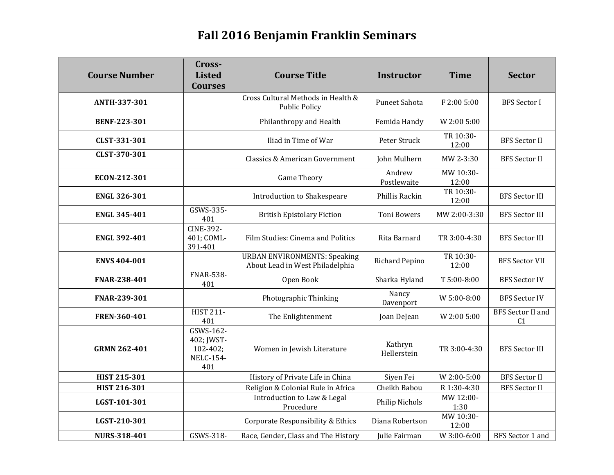## **Fall 2016 Benjamin Franklin Seminars**

| <b>Course Number</b> | Cross-<br><b>Listed</b><br><b>Courses</b>                          | <b>Course Title</b>                                                    | <b>Instructor</b>      | <b>Time</b>        | <b>Sector</b>                              |
|----------------------|--------------------------------------------------------------------|------------------------------------------------------------------------|------------------------|--------------------|--------------------------------------------|
| <b>ANTH-337-301</b>  |                                                                    | Cross Cultural Methods in Health &<br><b>Public Policy</b>             | Puneet Sahota          | F 2:00 5:00        | <b>BFS</b> Sector I                        |
| <b>BENF-223-301</b>  |                                                                    | Philanthropy and Health                                                | Femida Handy           | W 2:00 5:00        |                                            |
| CLST-331-301         |                                                                    | Iliad in Time of War                                                   | Peter Struck           | TR 10:30-<br>12:00 | <b>BFS</b> Sector II                       |
| CLST-370-301         |                                                                    | <b>Classics &amp; American Government</b>                              | John Mulhern           | MW 2-3:30          | <b>BFS</b> Sector II                       |
| ECON-212-301         |                                                                    | <b>Game Theory</b>                                                     | Andrew<br>Postlewaite  | MW 10:30-<br>12:00 |                                            |
| <b>ENGL 326-301</b>  |                                                                    | Introduction to Shakespeare                                            | Phillis Rackin         | TR 10:30-<br>12:00 | <b>BFS</b> Sector III                      |
| <b>ENGL 345-401</b>  | GSWS-335-<br>401                                                   | <b>British Epistolary Fiction</b>                                      | <b>Toni Bowers</b>     | MW 2:00-3:30       | <b>BFS Sector III</b>                      |
| <b>ENGL 392-401</b>  | <b>CINE-392-</b><br>401; COML-<br>391-401                          | Film Studies: Cinema and Politics                                      | Rita Barnard           | TR 3:00-4:30       | <b>BFS Sector III</b>                      |
| <b>ENVS 404-001</b>  |                                                                    | <b>URBAN ENVIRONMENTS: Speaking</b><br>About Lead in West Philadelphia | Richard Pepino         | TR 10:30-<br>12:00 | <b>BFS Sector VII</b>                      |
| FNAR-238-401         | <b>FNAR-538-</b><br>401                                            | Open Book                                                              | Sharka Hyland          | T 5:00-8:00        | <b>BFS Sector IV</b>                       |
| FNAR-239-301         |                                                                    | Photographic Thinking                                                  | Nancy<br>Davenport     | W 5:00-8:00        | <b>BFS Sector IV</b>                       |
| FREN-360-401         | <b>HIST 211-</b><br>401                                            | The Enlightenment                                                      | Joan DeJean            | W 2:00 5:00        | <b>BFS</b> Sector II and<br>C <sub>1</sub> |
| <b>GRMN 262-401</b>  | GSWS-162-<br>402; JWST-<br>$102 - 402;$<br><b>NELC-154-</b><br>401 | Women in Jewish Literature                                             | Kathryn<br>Hellerstein | TR 3:00-4:30       | <b>BFS Sector III</b>                      |
| <b>HIST 215-301</b>  |                                                                    | History of Private Life in China                                       | Siyen Fei              | W 2:00-5:00        | <b>BFS</b> Sector II                       |
| <b>HIST 216-301</b>  |                                                                    | Religion & Colonial Rule in Africa                                     | Cheikh Babou           | R 1:30-4:30        | <b>BFS</b> Sector II                       |
| LGST-101-301         |                                                                    | Introduction to Law & Legal<br>Procedure                               | Philip Nichols         | MW 12:00-<br>1:30  |                                            |
| LGST-210-301         |                                                                    | Corporate Responsibility & Ethics                                      | Diana Robertson        | MW 10:30-<br>12:00 |                                            |
| <b>NURS-318-401</b>  | GSWS-318-                                                          | Race, Gender, Class and The History                                    | Julie Fairman          | W 3:00-6:00        | BFS Sector 1 and                           |